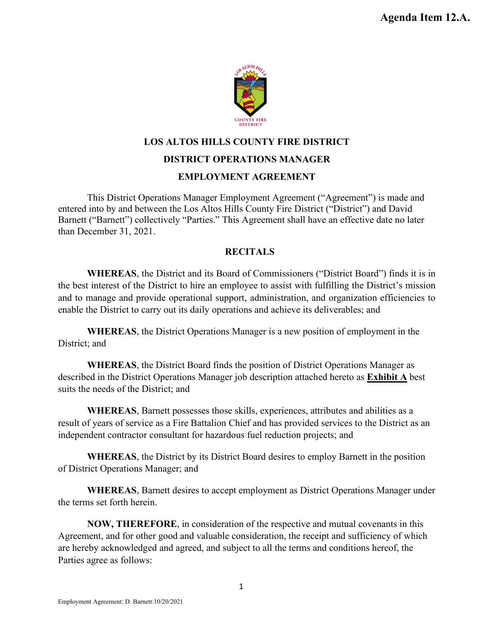

# **LOS ALTOS HILLS COUNTY FIRE DISTRICT**

#### **DISTRICT OPERATIONS MANAGER**

### **EMPLOYMENT AGREEMENT**

This District Operations Manager Employment Agreement ("Agreement") is made and entered into by and between the Los Altos Hills County Fire District ("District") and David Barnett ("Barnett") collectively "Parties." This Agreement shall have an effective date no later than December 31, 2021.

#### **RECITALS**

**WHEREAS**, the District and its Board of Commissioners ("District Board") finds it is in the best interest of the District to hire an employee to assist with fulfilling the District's mission and to manage and provide operational support, administration, and organization efficiencies to enable the District to carry out its daily operations and achieve its deliverables; and

**WHEREAS**, the District Operations Manager is a new position of employment in the District; and

**WHEREAS**, the District Board finds the position of District Operations Manager as described in the District Operations Manager job description attached hereto as **Exhibit A** best suits the needs of the District; and

**WHEREAS**, Barnett possesses those skills, experiences, attributes and abilities as a result of years of service as a Fire Battalion Chief and has provided services to the District as an independent contractor consultant for hazardous fuel reduction projects; and

**WHEREAS**, the District by its District Board desires to employ Barnett in the position of District Operations Manager; and

**WHEREAS**, Barnett desires to accept employment as District Operations Manager under the terms set forth herein.

**NOW, THEREFORE**, in consideration of the respective and mutual covenants in this Agreement, and for other good and valuable consideration, the receipt and sufficiency of which are hereby acknowledged and agreed, and subject to all the terms and conditions hereof, the Parties agree as follows: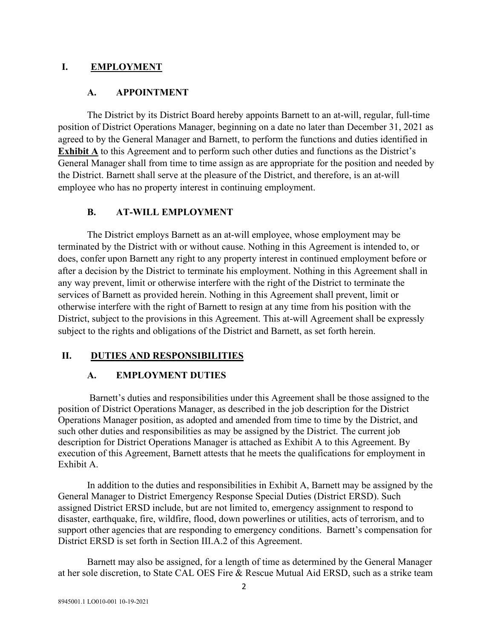### **I. EMPLOYMENT**

#### **A. APPOINTMENT**

The District by its District Board hereby appoints Barnett to an at-will, regular, full-time position of District Operations Manager, beginning on a date no later than December 31, 2021 as agreed to by the General Manager and Barnett, to perform the functions and duties identified in **Exhibit A** to this Agreement and to perform such other duties and functions as the District's General Manager shall from time to time assign as are appropriate for the position and needed by the District. Barnett shall serve at the pleasure of the District, and therefore, is an at-will employee who has no property interest in continuing employment.

#### **B. AT-WILL EMPLOYMENT**

The District employs Barnett as an at-will employee, whose employment may be terminated by the District with or without cause. Nothing in this Agreement is intended to, or does, confer upon Barnett any right to any property interest in continued employment before or after a decision by the District to terminate his employment. Nothing in this Agreement shall in any way prevent, limit or otherwise interfere with the right of the District to terminate the services of Barnett as provided herein. Nothing in this Agreement shall prevent, limit or otherwise interfere with the right of Barnett to resign at any time from his position with the District, subject to the provisions in this Agreement. This at-will Agreement shall be expressly subject to the rights and obligations of the District and Barnett, as set forth herein.

## **II. DUTIES AND RESPONSIBILITIES**

#### **A. EMPLOYMENT DUTIES**

Barnett's duties and responsibilities under this Agreement shall be those assigned to the position of District Operations Manager, as described in the job description for the District Operations Manager position, as adopted and amended from time to time by the District, and such other duties and responsibilities as may be assigned by the District. The current job description for District Operations Manager is attached as Exhibit A to this Agreement. By execution of this Agreement, Barnett attests that he meets the qualifications for employment in Exhibit A.

In addition to the duties and responsibilities in Exhibit A, Barnett may be assigned by the General Manager to District Emergency Response Special Duties (District ERSD). Such assigned District ERSD include, but are not limited to, emergency assignment to respond to disaster, earthquake, fire, wildfire, flood, down powerlines or utilities, acts of terrorism, and to support other agencies that are responding to emergency conditions. Barnett's compensation for District ERSD is set forth in Section III.A.2 of this Agreement.

Barnett may also be assigned, for a length of time as determined by the General Manager at her sole discretion, to State CAL OES Fire & Rescue Mutual Aid ERSD, such as a strike team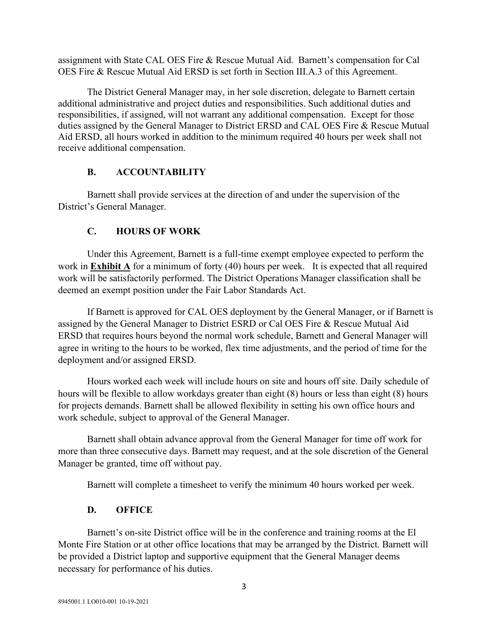assignment with State CAL OES Fire & Rescue Mutual Aid. Barnett's compensation for Cal OES Fire & Rescue Mutual Aid ERSD is set forth in Section III.A.3 of this Agreement.

The District General Manager may, in her sole discretion, delegate to Barnett certain additional administrative and project duties and responsibilities. Such additional duties and responsibilities, if assigned, will not warrant any additional compensation. Except for those duties assigned by the General Manager to District ERSD and CAL OES Fire & Rescue Mutual Aid ERSD, all hours worked in addition to the minimum required 40 hours per week shall not receive additional compensation.

#### **B. ACCOUNTABILITY**

Barnett shall provide services at the direction of and under the supervision of the District's General Manager.

#### **C. HOURS OF WORK**

Under this Agreement, Barnett is a full-time exempt employee expected to perform the work in **Exhibit A** for a minimum of forty (40) hours per week. It is expected that all required work will be satisfactorily performed. The District Operations Manager classification shall be deemed an exempt position under the Fair Labor Standards Act.

If Barnett is approved for CAL OES deployment by the General Manager, or if Barnett is assigned by the General Manager to District ESRD or Cal OES Fire & Rescue Mutual Aid ERSD that requires hours beyond the normal work schedule, Barnett and General Manager will agree in writing to the hours to be worked, flex time adjustments, and the period of time for the deployment and/or assigned ERSD.

Hours worked each week will include hours on site and hours off site. Daily schedule of hours will be flexible to allow workdays greater than eight (8) hours or less than eight (8) hours for projects demands. Barnett shall be allowed flexibility in setting his own office hours and work schedule, subject to approval of the General Manager.

Barnett shall obtain advance approval from the General Manager for time off work for more than three consecutive days. Barnett may request, and at the sole discretion of the General Manager be granted, time off without pay.

Barnett will complete a timesheet to verify the minimum 40 hours worked per week.

#### **D. OFFICE**

Barnett's on-site District office will be in the conference and training rooms at the El Monte Fire Station or at other office locations that may be arranged by the District. Barnett will be provided a District laptop and supportive equipment that the General Manager deems necessary for performance of his duties.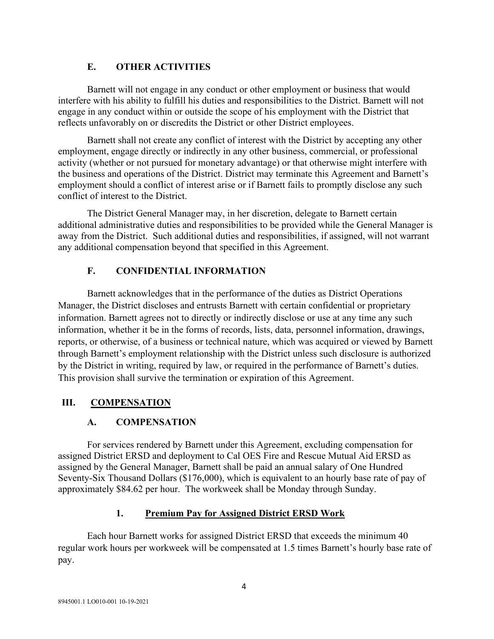## **E. OTHER ACTIVITIES**

Barnett will not engage in any conduct or other employment or business that would interfere with his ability to fulfill his duties and responsibilities to the District. Barnett will not engage in any conduct within or outside the scope of his employment with the District that reflects unfavorably on or discredits the District or other District employees.

Barnett shall not create any conflict of interest with the District by accepting any other employment, engage directly or indirectly in any other business, commercial, or professional activity (whether or not pursued for monetary advantage) or that otherwise might interfere with the business and operations of the District. District may terminate this Agreement and Barnett's employment should a conflict of interest arise or if Barnett fails to promptly disclose any such conflict of interest to the District.

The District General Manager may, in her discretion, delegate to Barnett certain additional administrative duties and responsibilities to be provided while the General Manager is away from the District. Such additional duties and responsibilities, if assigned, will not warrant any additional compensation beyond that specified in this Agreement.

## **F. CONFIDENTIAL INFORMATION**

Barnett acknowledges that in the performance of the duties as District Operations Manager, the District discloses and entrusts Barnett with certain confidential or proprietary information. Barnett agrees not to directly or indirectly disclose or use at any time any such information, whether it be in the forms of records, lists, data, personnel information, drawings, reports, or otherwise, of a business or technical nature, which was acquired or viewed by Barnett through Barnett's employment relationship with the District unless such disclosure is authorized by the District in writing, required by law, or required in the performance of Barnett's duties. This provision shall survive the termination or expiration of this Agreement.

# **III. COMPENSATION**

# **A. COMPENSATION**

For services rendered by Barnett under this Agreement, excluding compensation for assigned District ERSD and deployment to Cal OES Fire and Rescue Mutual Aid ERSD as assigned by the General Manager, Barnett shall be paid an annual salary of One Hundred Seventy-Six Thousand Dollars (\$176,000), which is equivalent to an hourly base rate of pay of approximately \$84.62 per hour. The workweek shall be Monday through Sunday.

## **1. Premium Pay for Assigned District ERSD Work**

Each hour Barnett works for assigned District ERSD that exceeds the minimum 40 regular work hours per workweek will be compensated at 1.5 times Barnett's hourly base rate of pay.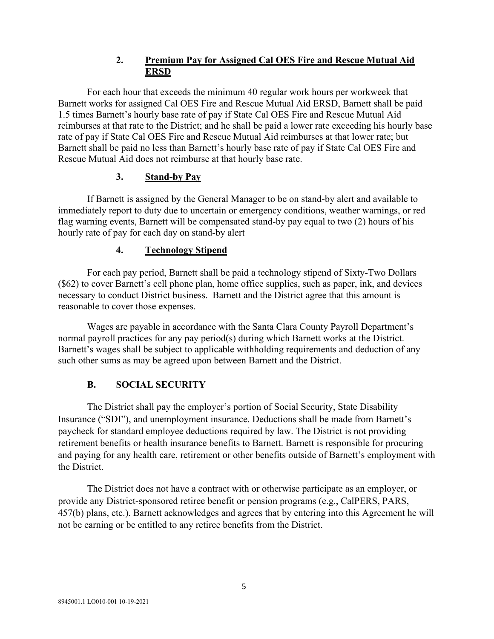### **2. Premium Pay for Assigned Cal OES Fire and Rescue Mutual Aid ERSD**

For each hour that exceeds the minimum 40 regular work hours per workweek that Barnett works for assigned Cal OES Fire and Rescue Mutual Aid ERSD, Barnett shall be paid 1.5 times Barnett's hourly base rate of pay if State Cal OES Fire and Rescue Mutual Aid reimburses at that rate to the District; and he shall be paid a lower rate exceeding his hourly base rate of pay if State Cal OES Fire and Rescue Mutual Aid reimburses at that lower rate; but Barnett shall be paid no less than Barnett's hourly base rate of pay if State Cal OES Fire and Rescue Mutual Aid does not reimburse at that hourly base rate.

### **3. Stand-by Pay**

If Barnett is assigned by the General Manager to be on stand-by alert and available to immediately report to duty due to uncertain or emergency conditions, weather warnings, or red flag warning events, Barnett will be compensated stand-by pay equal to two (2) hours of his hourly rate of pay for each day on stand-by alert

## **4. Technology Stipend**

For each pay period, Barnett shall be paid a technology stipend of Sixty-Two Dollars (\$62) to cover Barnett's cell phone plan, home office supplies, such as paper, ink, and devices necessary to conduct District business. Barnett and the District agree that this amount is reasonable to cover those expenses.

Wages are payable in accordance with the Santa Clara County Payroll Department's normal payroll practices for any pay period(s) during which Barnett works at the District. Barnett's wages shall be subject to applicable withholding requirements and deduction of any such other sums as may be agreed upon between Barnett and the District.

## **B. SOCIAL SECURITY**

The District shall pay the employer's portion of Social Security, State Disability Insurance ("SDI"), and unemployment insurance. Deductions shall be made from Barnett's paycheck for standard employee deductions required by law. The District is not providing retirement benefits or health insurance benefits to Barnett. Barnett is responsible for procuring and paying for any health care, retirement or other benefits outside of Barnett's employment with the District.

The District does not have a contract with or otherwise participate as an employer, or provide any District-sponsored retiree benefit or pension programs (e.g., CalPERS, PARS, 457(b) plans, etc.). Barnett acknowledges and agrees that by entering into this Agreement he will not be earning or be entitled to any retiree benefits from the District.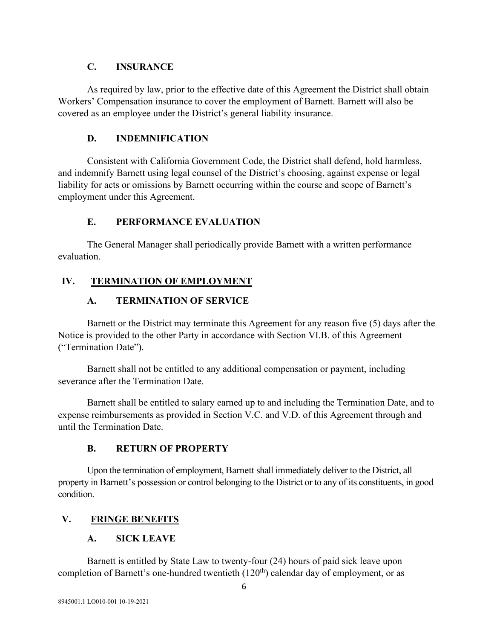#### **C. INSURANCE**

As required by law, prior to the effective date of this Agreement the District shall obtain Workers' Compensation insurance to cover the employment of Barnett. Barnett will also be covered as an employee under the District's general liability insurance.

## **D. INDEMNIFICATION**

Consistent with California Government Code, the District shall defend, hold harmless, and indemnify Barnett using legal counsel of the District's choosing, against expense or legal liability for acts or omissions by Barnett occurring within the course and scope of Barnett's employment under this Agreement.

## **E. PERFORMANCE EVALUATION**

The General Manager shall periodically provide Barnett with a written performance evaluation.

# **IV. TERMINATION OF EMPLOYMENT**

## **A. TERMINATION OF SERVICE**

Barnett or the District may terminate this Agreement for any reason five (5) days after the Notice is provided to the other Party in accordance with Section VI.B. of this Agreement ("Termination Date").

Barnett shall not be entitled to any additional compensation or payment, including severance after the Termination Date.

Barnett shall be entitled to salary earned up to and including the Termination Date, and to expense reimbursements as provided in Section V.C. and V.D. of this Agreement through and until the Termination Date.

## **B. RETURN OF PROPERTY**

Upon the termination of employment, Barnett shall immediately deliver to the District, all property in Barnett's possession or control belonging to the District or to any of its constituents, in good condition.

# **V. FRINGE BENEFITS**

# **A. SICK LEAVE**

Barnett is entitled by State Law to twenty-four (24) hours of paid sick leave upon completion of Barnett's one-hundred twentieth  $(120<sup>th</sup>)$  calendar day of employment, or as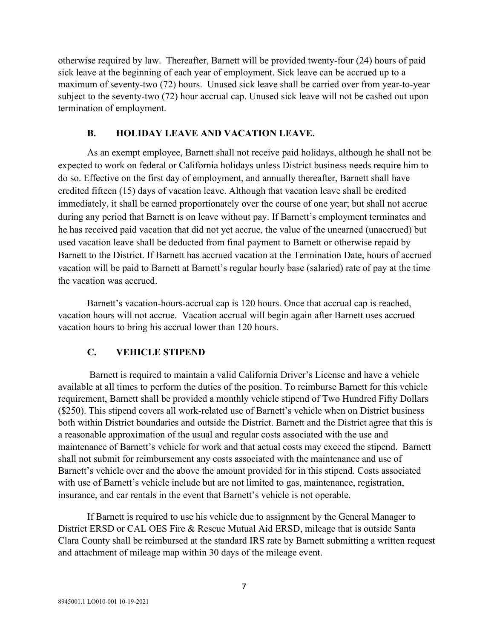otherwise required by law. Thereafter, Barnett will be provided twenty-four (24) hours of paid sick leave at the beginning of each year of employment. Sick leave can be accrued up to a maximum of seventy-two (72) hours. Unused sick leave shall be carried over from year-to-year subject to the seventy-two (72) hour accrual cap. Unused sick leave will not be cashed out upon termination of employment.

#### **B. HOLIDAY LEAVE AND VACATION LEAVE.**

As an exempt employee, Barnett shall not receive paid holidays, although he shall not be expected to work on federal or California holidays unless District business needs require him to do so. Effective on the first day of employment, and annually thereafter, Barnett shall have credited fifteen (15) days of vacation leave. Although that vacation leave shall be credited immediately, it shall be earned proportionately over the course of one year; but shall not accrue during any period that Barnett is on leave without pay. If Barnett's employment terminates and he has received paid vacation that did not yet accrue, the value of the unearned (unaccrued) but used vacation leave shall be deducted from final payment to Barnett or otherwise repaid by Barnett to the District. If Barnett has accrued vacation at the Termination Date, hours of accrued vacation will be paid to Barnett at Barnett's regular hourly base (salaried) rate of pay at the time the vacation was accrued.

Barnett's vacation-hours-accrual cap is 120 hours. Once that accrual cap is reached, vacation hours will not accrue. Vacation accrual will begin again after Barnett uses accrued vacation hours to bring his accrual lower than 120 hours.

#### **C. VEHICLE STIPEND**

Barnett is required to maintain a valid California Driver's License and have a vehicle available at all times to perform the duties of the position. To reimburse Barnett for this vehicle requirement, Barnett shall be provided a monthly vehicle stipend of Two Hundred Fifty Dollars (\$250). This stipend covers all work-related use of Barnett's vehicle when on District business both within District boundaries and outside the District. Barnett and the District agree that this is a reasonable approximation of the usual and regular costs associated with the use and maintenance of Barnett's vehicle for work and that actual costs may exceed the stipend. Barnett shall not submit for reimbursement any costs associated with the maintenance and use of Barnett's vehicle over and the above the amount provided for in this stipend. Costs associated with use of Barnett's vehicle include but are not limited to gas, maintenance, registration, insurance, and car rentals in the event that Barnett's vehicle is not operable.

If Barnett is required to use his vehicle due to assignment by the General Manager to District ERSD or CAL OES Fire & Rescue Mutual Aid ERSD, mileage that is outside Santa Clara County shall be reimbursed at the standard IRS rate by Barnett submitting a written request and attachment of mileage map within 30 days of the mileage event.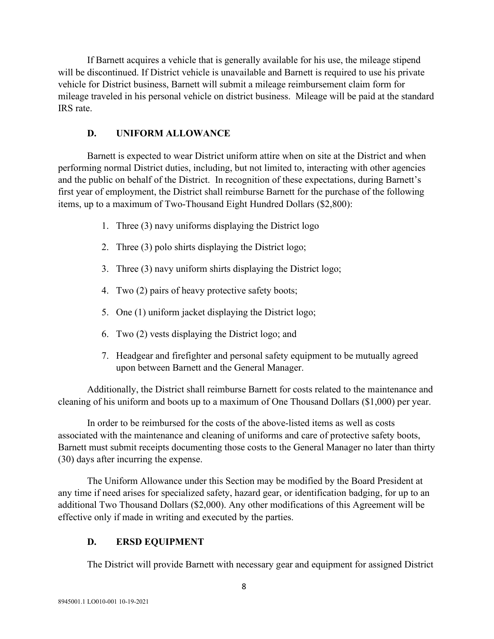If Barnett acquires a vehicle that is generally available for his use, the mileage stipend will be discontinued. If District vehicle is unavailable and Barnett is required to use his private vehicle for District business, Barnett will submit a mileage reimbursement claim form for mileage traveled in his personal vehicle on district business. Mileage will be paid at the standard IRS rate.

## **D. UNIFORM ALLOWANCE**

Barnett is expected to wear District uniform attire when on site at the District and when performing normal District duties, including, but not limited to, interacting with other agencies and the public on behalf of the District. In recognition of these expectations, during Barnett's first year of employment, the District shall reimburse Barnett for the purchase of the following items, up to a maximum of Two-Thousand Eight Hundred Dollars (\$2,800):

- 1. Three (3) navy uniforms displaying the District logo
- 2. Three (3) polo shirts displaying the District logo;
- 3. Three (3) navy uniform shirts displaying the District logo;
- 4. Two (2) pairs of heavy protective safety boots;
- 5. One (1) uniform jacket displaying the District logo;
- 6. Two (2) vests displaying the District logo; and
- 7. Headgear and firefighter and personal safety equipment to be mutually agreed upon between Barnett and the General Manager.

Additionally, the District shall reimburse Barnett for costs related to the maintenance and cleaning of his uniform and boots up to a maximum of One Thousand Dollars (\$1,000) per year.

In order to be reimbursed for the costs of the above-listed items as well as costs associated with the maintenance and cleaning of uniforms and care of protective safety boots, Barnett must submit receipts documenting those costs to the General Manager no later than thirty (30) days after incurring the expense.

The Uniform Allowance under this Section may be modified by the Board President at any time if need arises for specialized safety, hazard gear, or identification badging, for up to an additional Two Thousand Dollars (\$2,000). Any other modifications of this Agreement will be effective only if made in writing and executed by the parties.

# **D. ERSD EQUIPMENT**

The District will provide Barnett with necessary gear and equipment for assigned District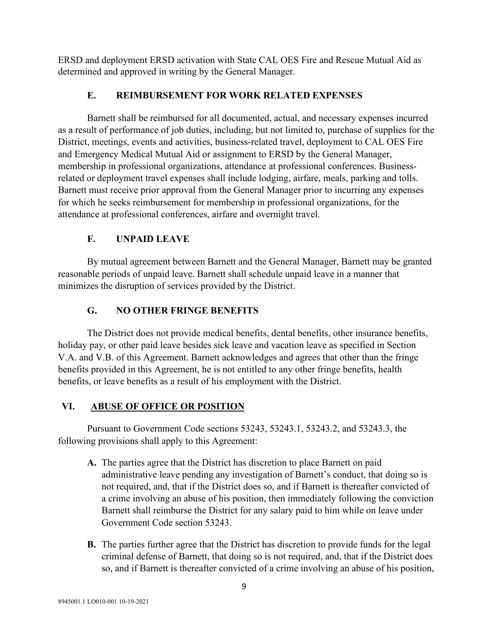ERSD and deployment ERSD activation with State CAL OES Fire and Rescue Mutual Aid as determined and approved in writing by the General Manager.

## **E. REIMBURSEMENT FOR WORK RELATED EXPENSES**

Barnett shall be reimbursed for all documented, actual, and necessary expenses incurred as a result of performance of job duties, including, but not limited to, purchase of supplies for the District, meetings, events and activities, business-related travel, deployment to CAL OES Fire and Emergency Medical Mutual Aid or assignment to ERSD by the General Manager, membership in professional organizations, attendance at professional conferences. Businessrelated or deployment travel expenses shall include lodging, airfare, meals, parking and tolls. Barnett must receive prior approval from the General Manager prior to incurring any expenses for which he seeks reimbursement for membership in professional organizations, for the attendance at professional conferences, airfare and overnight travel.

## **F. UNPAID LEAVE**

By mutual agreement between Barnett and the General Manager, Barnett may be granted reasonable periods of unpaid leave. Barnett shall schedule unpaid leave in a manner that minimizes the disruption of services provided by the District.

## **G. NO OTHER FRINGE BENEFITS**

The District does not provide medical benefits, dental benefits, other insurance benefits, holiday pay, or other paid leave besides sick leave and vacation leave as specified in Section V.A. and V.B. of this Agreement. Barnett acknowledges and agrees that other than the fringe benefits provided in this Agreement, he is not entitled to any other fringe benefits, health benefits, or leave benefits as a result of his employment with the District.

## **VI. ABUSE OF OFFICE OR POSITION**

Pursuant to Government Code sections 53243, 53243.1, 53243.2, and 53243.3, the following provisions shall apply to this Agreement:

- **A.** The parties agree that the District has discretion to place Barnett on paid administrative leave pending any investigation of Barnett's conduct, that doing so is not required, and, that if the District does so, and if Barnett is thereafter convicted of a crime involving an abuse of his position, then immediately following the conviction Barnett shall reimburse the District for any salary paid to him while on leave under Government Code section 53243.
- **B.** The parties further agree that the District has discretion to provide funds for the legal criminal defense of Barnett, that doing so is not required, and, that if the District does so, and if Barnett is thereafter convicted of a crime involving an abuse of his position,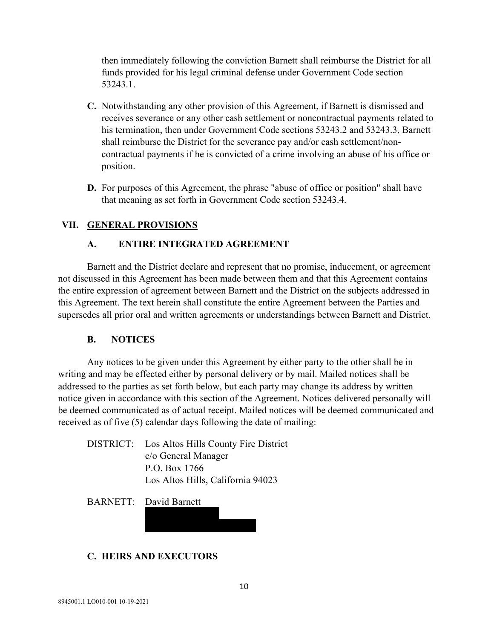then immediately following the conviction Barnett shall reimburse the District for all funds provided for his legal criminal defense under Government Code section 53243.1.

- **C.** Notwithstanding any other provision of this Agreement, if Barnett is dismissed and receives severance or any other cash settlement or noncontractual payments related to his termination, then under Government Code sections 53243.2 and 53243.3, Barnett shall reimburse the District for the severance pay and/or cash settlement/noncontractual payments if he is convicted of a crime involving an abuse of his office or position.
- **D.** For purposes of this Agreement, the phrase "abuse of office or position" shall have that meaning as set forth in Government Code section 53243.4.

### **VII. GENERAL PROVISIONS**

#### **A. ENTIRE INTEGRATED AGREEMENT**

Barnett and the District declare and represent that no promise, inducement, or agreement not discussed in this Agreement has been made between them and that this Agreement contains the entire expression of agreement between Barnett and the District on the subjects addressed in this Agreement. The text herein shall constitute the entire Agreement between the Parties and supersedes all prior oral and written agreements or understandings between Barnett and District.

#### **B. NOTICES**

Any notices to be given under this Agreement by either party to the other shall be in writing and may be effected either by personal delivery or by mail. Mailed notices shall be addressed to the parties as set forth below, but each party may change its address by written notice given in accordance with this section of the Agreement. Notices delivered personally will be deemed communicated as of actual receipt. Mailed notices will be deemed communicated and received as of five (5) calendar days following the date of mailing:

DISTRICT: Los Altos Hills County Fire District c/o General Manager P.O. Box 1766 Los Altos Hills, California 94023

BARNETT: David Barnett

#### **C. HEIRS AND EXECUTORS**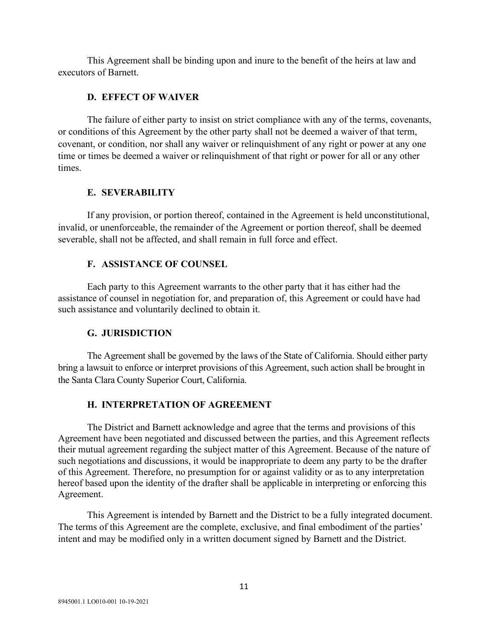This Agreement shall be binding upon and inure to the benefit of the heirs at law and executors of Barnett.

#### **D. EFFECT OF WAIVER**

The failure of either party to insist on strict compliance with any of the terms, covenants, or conditions of this Agreement by the other party shall not be deemed a waiver of that term, covenant, or condition, nor shall any waiver or relinquishment of any right or power at any one time or times be deemed a waiver or relinquishment of that right or power for all or any other times.

#### **E. SEVERABILITY**

If any provision, or portion thereof, contained in the Agreement is held unconstitutional, invalid, or unenforceable, the remainder of the Agreement or portion thereof, shall be deemed severable, shall not be affected, and shall remain in full force and effect.

#### **F. ASSISTANCE OF COUNSEL**

Each party to this Agreement warrants to the other party that it has either had the assistance of counsel in negotiation for, and preparation of, this Agreement or could have had such assistance and voluntarily declined to obtain it.

#### **G. JURISDICTION**

The Agreement shall be governed by the laws of the State of California. Should either party bring a lawsuit to enforce or interpret provisions of this Agreement, such action shall be brought in the Santa Clara County Superior Court, California.

#### **H. INTERPRETATION OF AGREEMENT**

The District and Barnett acknowledge and agree that the terms and provisions of this Agreement have been negotiated and discussed between the parties, and this Agreement reflects their mutual agreement regarding the subject matter of this Agreement. Because of the nature of such negotiations and discussions, it would be inappropriate to deem any party to be the drafter of this Agreement. Therefore, no presumption for or against validity or as to any interpretation hereof based upon the identity of the drafter shall be applicable in interpreting or enforcing this Agreement.

This Agreement is intended by Barnett and the District to be a fully integrated document. The terms of this Agreement are the complete, exclusive, and final embodiment of the parties' intent and may be modified only in a written document signed by Barnett and the District.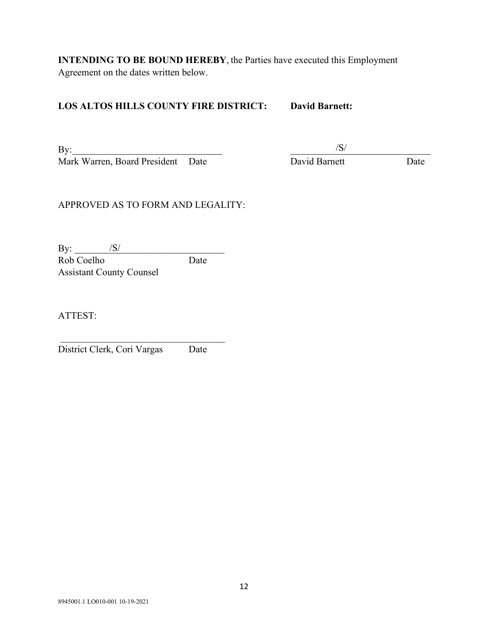**INTENDING TO BE BOUND HEREBY**, the Parties have executed this Employment Agreement on the dates written below.

## **LOS ALTOS HILLS COUNTY FIRE DISTRICT: David Barnett:**

 $\text{By:}\qquad \qquad \qquad \qquad \qquad \qquad \qquad \qquad \qquad \qquad \text{By:}\qquad \qquad \qquad \text{By:}\qquad \qquad \text{By:}\qquad \qquad \qquad \text{By:}\qquad \qquad \text{By:}\qquad \qquad \text{By:}\qquad \qquad \text{By:}\qquad \qquad \text{By:}\qquad \qquad \text{By:}\qquad \qquad \text{By:}\qquad \qquad \text{By:}\qquad \qquad \text{By:}\qquad \qquad \text{By:}\qquad \qquad \text{By:}\qquad \qquad \text{By:}\qquad \qquad \text{By:}\qquad \qquad \text{$ Mark Warren, Board President Date David Barnett Date

/S/

## APPROVED AS TO FORM AND LEGALITY:

By: \_\_\_\_\_\_\_\_\_\_\_\_\_\_\_\_\_\_\_\_\_\_\_\_\_\_\_\_\_\_\_ /S/ Rob Coelho Date Assistant County Counsel

ATTEST:

District Clerk, Cori Vargas Date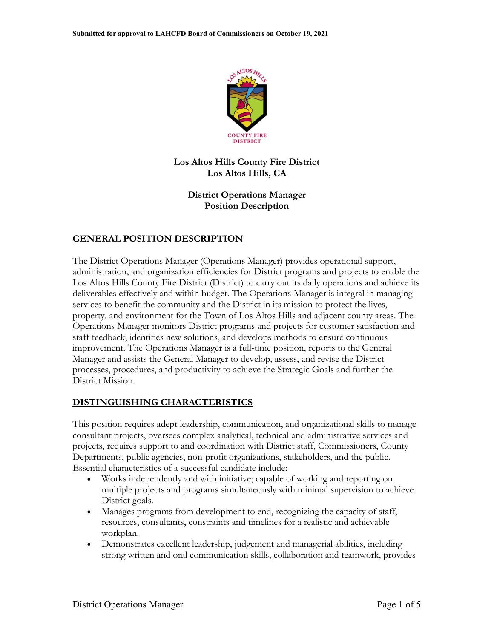

### **Los Altos Hills County Fire District Los Altos Hills, CA**

### **District Operations Manager Position Description**

## **GENERAL POSITION DESCRIPTION**

The District Operations Manager (Operations Manager) provides operational support, administration, and organization efficiencies for District programs and projects to enable the Los Altos Hills County Fire District (District) to carry out its daily operations and achieve its deliverables effectively and within budget. The Operations Manager is integral in managing services to benefit the community and the District in its mission to protect the lives, property, and environment for the Town of Los Altos Hills and adjacent county areas. The Operations Manager monitors District programs and projects for customer satisfaction and staff feedback, identifies new solutions, and develops methods to ensure continuous improvement. The Operations Manager is a full-time position, reports to the General Manager and assists the General Manager to develop, assess, and revise the District processes, procedures, and productivity to achieve the Strategic Goals and further the District Mission.

## **DISTINGUISHING CHARACTERISTICS**

This position requires adept leadership, communication, and organizational skills to manage consultant projects, oversees complex analytical, technical and administrative services and projects, requires support to and coordination with District staff, Commissioners, County Departments, public agencies, non-profit organizations, stakeholders, and the public. Essential characteristics of a successful candidate include:

- Works independently and with initiative; capable of working and reporting on multiple projects and programs simultaneously with minimal supervision to achieve District goals.
- Manages programs from development to end, recognizing the capacity of staff, resources, consultants, constraints and timelines for a realistic and achievable workplan.
- Demonstrates excellent leadership, judgement and managerial abilities, including strong written and oral communication skills, collaboration and teamwork, provides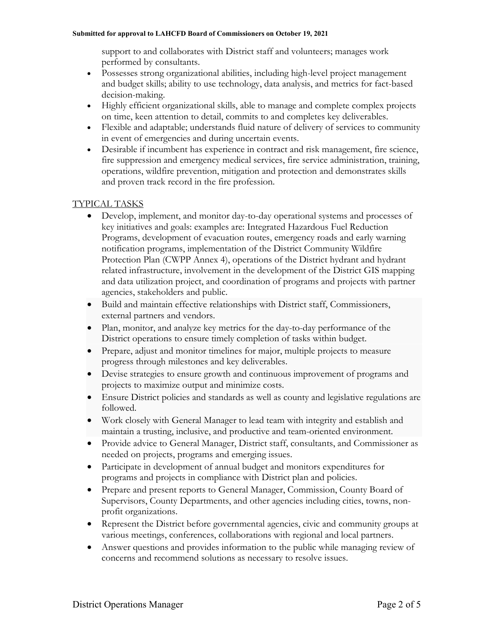#### **Submitted for approval to LAHCFD Board of Commissioners on October 19, 2021**

support to and collaborates with District staff and volunteers; manages work performed by consultants.

- Possesses strong organizational abilities, including high-level project management and budget skills; ability to use technology, data analysis, and metrics for fact-based decision-making.
- Highly efficient organizational skills, able to manage and complete complex projects on time, keen attention to detail, commits to and completes key deliverables.
- Flexible and adaptable; understands fluid nature of delivery of services to community in event of emergencies and during uncertain events.
- Desirable if incumbent has experience in contract and risk management, fire science, fire suppression and emergency medical services, fire service administration, training, operations, wildfire prevention, mitigation and protection and demonstrates skills and proven track record in the fire profession.

### TYPICAL TASKS

- Develop, implement, and monitor day-to-day operational systems and processes of key initiatives and goals: examples are: Integrated Hazardous Fuel Reduction Programs, development of evacuation routes, emergency roads and early warning notification programs, implementation of the District Community Wildfire Protection Plan (CWPP Annex 4), operations of the District hydrant and hydrant related infrastructure, involvement in the development of the District GIS mapping and data utilization project, and coordination of programs and projects with partner agencies, stakeholders and public.
- Build and maintain effective relationships with District staff, Commissioners, external partners and vendors.
- Plan, monitor, and analyze key metrics for the day-to-day performance of the District operations to ensure timely completion of tasks within budget.
- Prepare, adjust and monitor timelines for major, multiple projects to measure progress through milestones and key deliverables.
- Devise strategies to ensure growth and continuous improvement of programs and projects to maximize output and minimize costs.
- Ensure District policies and standards as well as county and legislative regulations are followed.
- Work closely with General Manager to lead team with integrity and establish and maintain a trusting, inclusive, and productive and team-oriented environment.
- Provide advice to General Manager, District staff, consultants, and Commissioner as needed on projects, programs and emerging issues.
- Participate in development of annual budget and monitors expenditures for programs and projects in compliance with District plan and policies.
- Prepare and present reports to General Manager, Commission, County Board of Supervisors, County Departments, and other agencies including cities, towns, nonprofit organizations.
- Represent the District before governmental agencies, civic and community groups at various meetings, conferences, collaborations with regional and local partners.
- Answer questions and provides information to the public while managing review of concerns and recommend solutions as necessary to resolve issues.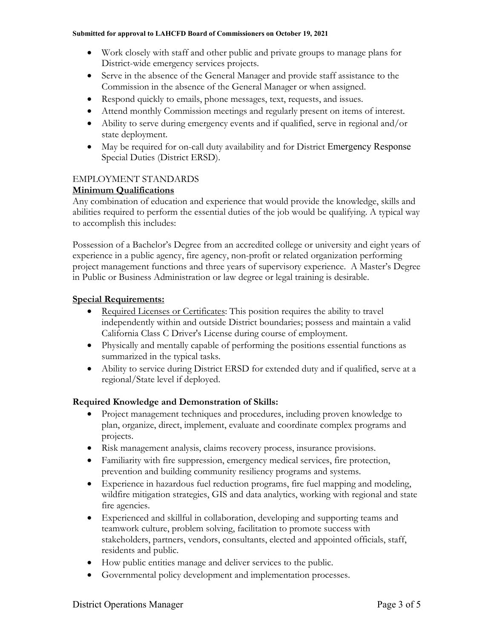- Work closely with staff and other public and private groups to manage plans for District-wide emergency services projects.
- Serve in the absence of the General Manager and provide staff assistance to the Commission in the absence of the General Manager or when assigned.
- Respond quickly to emails, phone messages, text, requests, and issues.
- Attend monthly Commission meetings and regularly present on items of interest.
- Ability to serve during emergency events and if qualified, serve in regional and/or state deployment.
- May be required for on-call duty availability and for District Emergency Response Special Duties (District ERSD).

### EMPLOYMENT STANDARDS

### **Minimum Qualifications**

Any combination of education and experience that would provide the knowledge, skills and abilities required to perform the essential duties of the job would be qualifying. A typical way to accomplish this includes:

Possession of a Bachelor's Degree from an accredited college or university and eight years of experience in a public agency, fire agency, non-profit or related organization performing project management functions and three years of supervisory experience. A Master's Degree in Public or Business Administration or law degree or legal training is desirable.

#### **Special Requirements:**

- Required Licenses or Certificates: This position requires the ability to travel independently within and outside District boundaries; possess and maintain a valid California Class C Driver's License during course of employment.
- Physically and mentally capable of performing the positions essential functions as summarized in the typical tasks.
- Ability to service during District ERSD for extended duty and if qualified, serve at a regional/State level if deployed.

## **Required Knowledge and Demonstration of Skills:**

- Project management techniques and procedures, including proven knowledge to plan, organize, direct, implement, evaluate and coordinate complex programs and projects.
- Risk management analysis, claims recovery process, insurance provisions.
- Familiarity with fire suppression, emergency medical services, fire protection, prevention and building community resiliency programs and systems.
- Experience in hazardous fuel reduction programs, fire fuel mapping and modeling, wildfire mitigation strategies, GIS and data analytics, working with regional and state fire agencies.
- Experienced and skillful in collaboration, developing and supporting teams and teamwork culture, problem solving, facilitation to promote success with stakeholders, partners, vendors, consultants, elected and appointed officials, staff, residents and public.
- How public entities manage and deliver services to the public.
- Governmental policy development and implementation processes.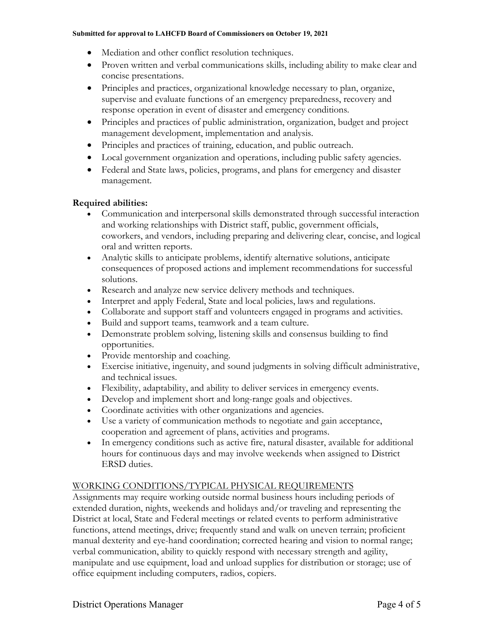#### **Submitted for approval to LAHCFD Board of Commissioners on October 19, 2021**

- Mediation and other conflict resolution techniques.
- Proven written and verbal communications skills, including ability to make clear and concise presentations.
- Principles and practices, organizational knowledge necessary to plan, organize, supervise and evaluate functions of an emergency preparedness, recovery and response operation in event of disaster and emergency conditions.
- Principles and practices of public administration, organization, budget and project management development, implementation and analysis.
- Principles and practices of training, education, and public outreach.
- Local government organization and operations, including public safety agencies.
- Federal and State laws, policies, programs, and plans for emergency and disaster management.

### **Required abilities:**

- Communication and interpersonal skills demonstrated through successful interaction and working relationships with District staff, public, government officials, coworkers, and vendors, including preparing and delivering clear, concise, and logical oral and written reports.
- Analytic skills to anticipate problems, identify alternative solutions, anticipate consequences of proposed actions and implement recommendations for successful solutions.
- Research and analyze new service delivery methods and techniques.
- Interpret and apply Federal, State and local policies, laws and regulations.
- Collaborate and support staff and volunteers engaged in programs and activities.
- Build and support teams, teamwork and a team culture.
- Demonstrate problem solving, listening skills and consensus building to find opportunities.
- Provide mentorship and coaching.
- Exercise initiative, ingenuity, and sound judgments in solving difficult administrative, and technical issues.
- Flexibility, adaptability, and ability to deliver services in emergency events.
- Develop and implement short and long-range goals and objectives.
- Coordinate activities with other organizations and agencies.
- Use a variety of communication methods to negotiate and gain acceptance, cooperation and agreement of plans, activities and programs.
- In emergency conditions such as active fire, natural disaster, available for additional hours for continuous days and may involve weekends when assigned to District ERSD duties.

## WORKING CONDITIONS/TYPICAL PHYSICAL REQUIREMENTS

Assignments may require working outside normal business hours including periods of extended duration, nights, weekends and holidays and/or traveling and representing the District at local, State and Federal meetings or related events to perform administrative functions, attend meetings, drive; frequently stand and walk on uneven terrain; proficient manual dexterity and eye-hand coordination; corrected hearing and vision to normal range; verbal communication, ability to quickly respond with necessary strength and agility, manipulate and use equipment, load and unload supplies for distribution or storage; use of office equipment including computers, radios, copiers.